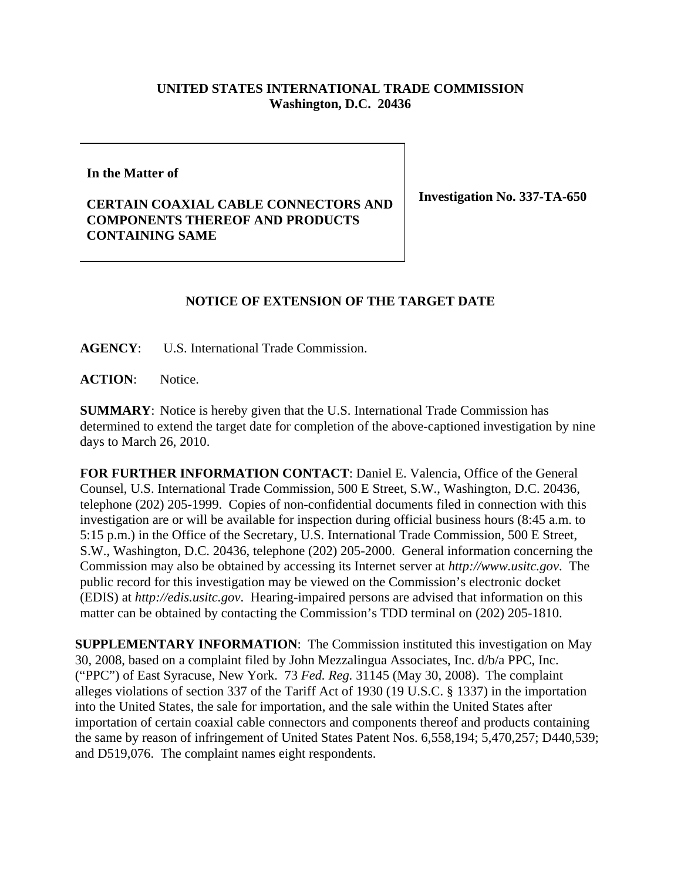## **UNITED STATES INTERNATIONAL TRADE COMMISSION Washington, D.C. 20436**

**In the Matter of** 

## **CERTAIN COAXIAL CABLE CONNECTORS AND COMPONENTS THEREOF AND PRODUCTS CONTAINING SAME**

**Investigation No. 337-TA-650**

## **NOTICE OF EXTENSION OF THE TARGET DATE**

**AGENCY**: U.S. International Trade Commission.

**ACTION**: Notice.

**SUMMARY**: Notice is hereby given that the U.S. International Trade Commission has determined to extend the target date for completion of the above-captioned investigation by nine days to March 26, 2010.

**FOR FURTHER INFORMATION CONTACT**: Daniel E. Valencia, Office of the General Counsel, U.S. International Trade Commission, 500 E Street, S.W., Washington, D.C. 20436, telephone (202) 205-1999. Copies of non-confidential documents filed in connection with this investigation are or will be available for inspection during official business hours (8:45 a.m. to 5:15 p.m.) in the Office of the Secretary, U.S. International Trade Commission, 500 E Street, S.W., Washington, D.C. 20436, telephone (202) 205-2000. General information concerning the Commission may also be obtained by accessing its Internet server at *http://www.usitc.gov*. The public record for this investigation may be viewed on the Commission's electronic docket (EDIS) at *http://edis.usitc.gov*. Hearing-impaired persons are advised that information on this matter can be obtained by contacting the Commission's TDD terminal on (202) 205-1810.

**SUPPLEMENTARY INFORMATION**: The Commission instituted this investigation on May 30, 2008, based on a complaint filed by John Mezzalingua Associates, Inc. d/b/a PPC, Inc. ("PPC") of East Syracuse, New York. 73 *Fed. Reg.* 31145 (May 30, 2008). The complaint alleges violations of section 337 of the Tariff Act of 1930 (19 U.S.C. § 1337) in the importation into the United States, the sale for importation, and the sale within the United States after importation of certain coaxial cable connectors and components thereof and products containing the same by reason of infringement of United States Patent Nos. 6,558,194; 5,470,257; D440,539; and D519,076. The complaint names eight respondents.